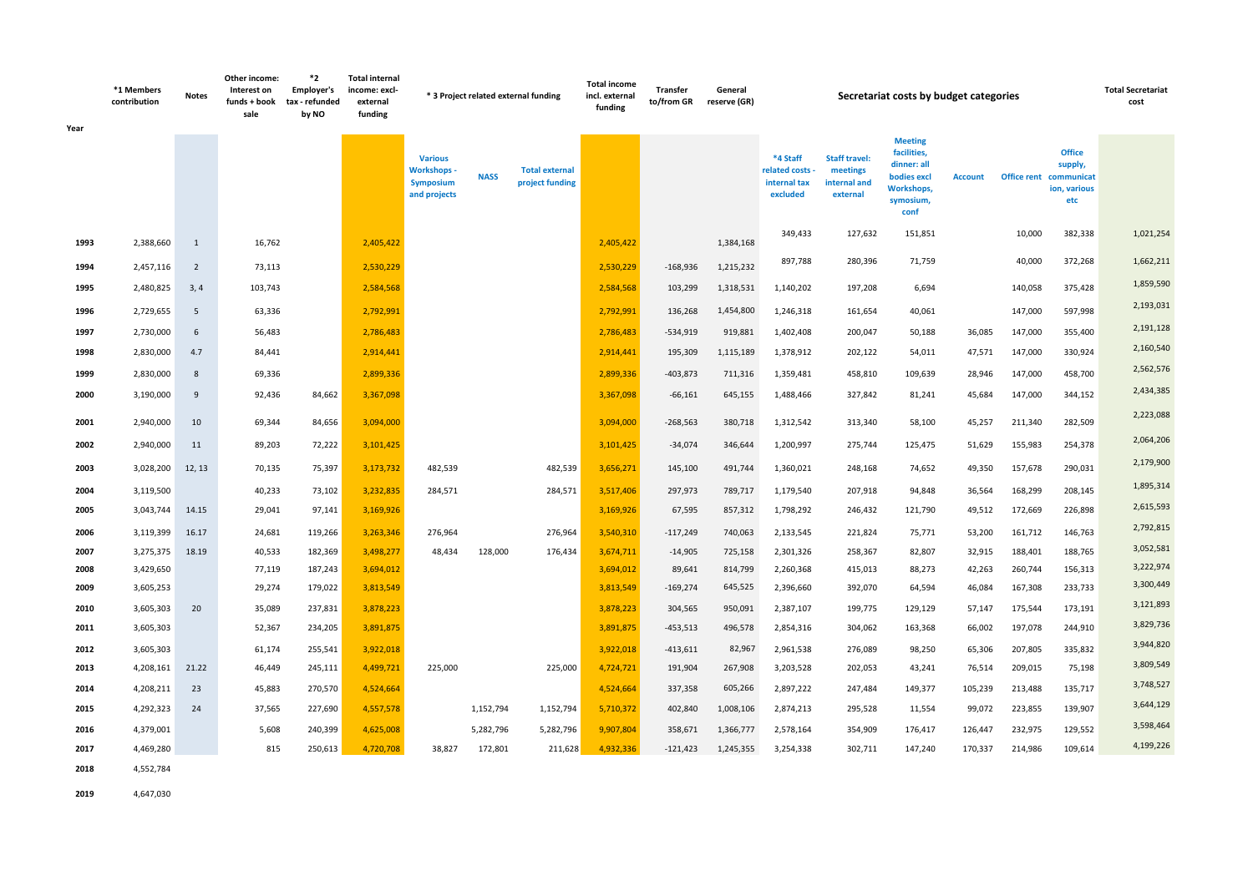| Year         | *1 Members<br>contribution | <b>Notes</b>   | Other income:<br>Interest on<br>funds + book<br>sale | *2<br><b>Employer's</b><br>tax - refunded<br>by NO | <b>Total internal</b><br>income: excl-<br>external<br>funding |                                                                          |             | * 3 Project related external funding     | <b>Total income</b><br>incl. external<br>funding | <b>Transfer</b><br>to/from GR | General<br>reserve (GR) |                                                         |                                                              | Secretariat costs by budget categories                                                                |                  |                    |                                                                           | <b>Total Secretariat</b><br>cost |
|--------------|----------------------------|----------------|------------------------------------------------------|----------------------------------------------------|---------------------------------------------------------------|--------------------------------------------------------------------------|-------------|------------------------------------------|--------------------------------------------------|-------------------------------|-------------------------|---------------------------------------------------------|--------------------------------------------------------------|-------------------------------------------------------------------------------------------------------|------------------|--------------------|---------------------------------------------------------------------------|----------------------------------|
|              |                            |                |                                                      |                                                    |                                                               | <b>Various</b><br><b>Workshops -</b><br><b>Symposium</b><br>and projects | <b>NASS</b> | <b>Total external</b><br>project funding |                                                  |                               |                         | *4 Staff<br>related costs -<br>internal tax<br>excluded | <b>Staff travel:</b><br>meetings<br>internal and<br>external | <b>Meeting</b><br>facilities,<br>dinner: all<br>bodies excl<br><b>Workshops,</b><br>symosium,<br>conf | <b>Account</b>   |                    | <b>Office</b><br>supply,<br>Office rent communicat<br>ion, various<br>etc |                                  |
| 1993         | 2,388,660                  | 1              | 16,762                                               |                                                    | 2,405,422                                                     |                                                                          |             |                                          | 2,405,422                                        |                               | 1,384,168               | 349,433                                                 | 127,632                                                      | 151,851                                                                                               |                  | 10,000             | 382,338                                                                   | 1,021,254                        |
| 1994         | 2,457,116                  | $\overline{2}$ | 73,113                                               |                                                    | 2,530,229                                                     |                                                                          |             |                                          | 2,530,229                                        | $-168,936$                    | 1,215,232               | 897,788                                                 | 280,396                                                      | 71,759                                                                                                |                  | 40,000             | 372,268                                                                   | 1,662,211                        |
| 1995         | 2,480,825                  | 3,4            | 103,743                                              |                                                    | 2,584,568                                                     |                                                                          |             |                                          | 2,584,568                                        | 103,299                       | 1,318,531               | 1,140,202                                               | 197,208                                                      | 6,694                                                                                                 |                  | 140,058            | 375,428                                                                   | 1,859,590                        |
| 1996         | 2,729,655                  | 5              | 63,336                                               |                                                    | 2,792,991                                                     |                                                                          |             |                                          | 2,792,991                                        | 136,268                       | 1,454,800               | 1,246,318                                               | 161,654                                                      | 40,061                                                                                                |                  | 147,000            | 597,998                                                                   | 2,193,031                        |
| 1997         | 2,730,000                  | 6              | 56,483                                               |                                                    | 2,786,483                                                     |                                                                          |             |                                          | 2,786,483                                        | $-534,919$                    | 919,881                 | 1,402,408                                               | 200,047                                                      | 50,188                                                                                                | 36,085           | 147,000            | 355,400                                                                   | 2,191,128                        |
| 1998         | 2,830,000                  | 4.7            | 84,441                                               |                                                    | 2,914,441                                                     |                                                                          |             |                                          | 2,914,441                                        | 195,309                       | 1,115,189               | 1,378,912                                               | 202,122                                                      | 54,011                                                                                                | 47,571           | 147,000            | 330,924                                                                   | 2,160,540                        |
| 1999         | 2,830,000                  | 8              | 69,336                                               |                                                    | 2,899,336                                                     |                                                                          |             |                                          | 2,899,336                                        | $-403,873$                    | 711,316                 | 1,359,481                                               | 458,810                                                      | 109,639                                                                                               | 28,946           | 147,000            | 458,700                                                                   | 2,562,576                        |
| 2000         | 3,190,000                  | 9              | 92,436                                               | 84,662                                             | 3,367,098                                                     |                                                                          |             |                                          | 3,367,098                                        | $-66,161$                     | 645,155                 | 1,488,466                                               | 327,842                                                      | 81,241                                                                                                | 45,684           | 147,000            | 344,152                                                                   | 2,434,385                        |
| 2001         | 2,940,000                  | 10             | 69,344                                               | 84,656                                             | 3,094,000                                                     |                                                                          |             |                                          | 3,094,000                                        | $-268,563$                    | 380,718                 | 1,312,542                                               | 313,340                                                      | 58,100                                                                                                | 45,257           | 211,340            | 282,509                                                                   | 2,223,088                        |
| 2002         | 2,940,000                  | 11             | 89,203                                               | 72,222                                             | 3,101,425                                                     |                                                                          |             |                                          | 3,101,425                                        | $-34,074$                     | 346,644                 | 1,200,997                                               | 275,744                                                      | 125,475                                                                                               | 51,629           | 155,983            | 254,378                                                                   | 2,064,206                        |
|              |                            |                |                                                      |                                                    |                                                               |                                                                          |             |                                          |                                                  |                               |                         |                                                         |                                                              |                                                                                                       |                  |                    |                                                                           | 2,179,900                        |
| 2003         | 3,028,200                  | 12, 13         | 70,135                                               | 75,397                                             | 3,173,732                                                     | 482,539                                                                  |             | 482,539                                  | 3,656,271                                        | 145,100                       | 491,744                 | 1,360,021                                               | 248,168                                                      | 74,652                                                                                                | 49,350           | 157,678            | 290,031                                                                   | 1,895,314                        |
| 2004<br>2005 | 3,119,500<br>3,043,744     | 14.15          | 40,233<br>29,041                                     | 73,102<br>97,141                                   | 3,232,835<br>3,169,926                                        | 284,571                                                                  |             | 284,571                                  | 3,517,406<br>3,169,926                           | 297,973<br>67,595             | 789,717<br>857,312      | 1,179,540<br>1,798,292                                  | 207,918<br>246,432                                           | 94,848<br>121,790                                                                                     | 36,564<br>49,512 | 168,299<br>172,669 | 208,145<br>226,898                                                        | 2,615,593                        |
|              |                            |                |                                                      |                                                    |                                                               |                                                                          |             |                                          |                                                  |                               |                         |                                                         |                                                              |                                                                                                       |                  |                    |                                                                           | 2,792,815                        |
| 2006<br>2007 | 3,119,399<br>3,275,375     | 16.17<br>18.19 | 24,681<br>40,533                                     | 119,266<br>182,369                                 | 3,263,346<br>3,498,277                                        | 276,964<br>48,434                                                        | 128,000     | 276,964<br>176,434                       | 3,540,310<br>3,674,711                           | $-117,249$<br>$-14,905$       | 740,063<br>725,158      | 2,133,545<br>2,301,326                                  | 221,824<br>258,367                                           | 75,771<br>82,807                                                                                      | 53,200<br>32,915 | 161,712<br>188,401 | 146,763<br>188,765                                                        | 3,052,581                        |
| 2008         | 3,429,650                  |                | 77,119                                               | 187,243                                            | 3,694,012                                                     |                                                                          |             |                                          | 3,694,012                                        | 89,641                        | 814,799                 | 2,260,368                                               | 415,013                                                      | 88,273                                                                                                | 42,263           | 260,744            | 156,313                                                                   | 3,222,974                        |
| 2009         | 3,605,253                  |                | 29,274                                               | 179,022                                            | 3,813,549                                                     |                                                                          |             |                                          | 3,813,549                                        | $-169,274$                    | 645,525                 | 2,396,660                                               | 392,070                                                      | 64,594                                                                                                | 46,084           | 167,308            | 233,733                                                                   | 3,300,449                        |
| 2010         | 3,605,303                  | 20             | 35,089                                               | 237,831                                            | 3,878,223                                                     |                                                                          |             |                                          | 3,878,223                                        | 304,565                       | 950,091                 | 2,387,107                                               | 199,775                                                      | 129,129                                                                                               | 57,147           | 175,544            | 173,191                                                                   | 3,121,893                        |
| 2011         | 3,605,303                  |                | 52,367                                               | 234,205                                            | 3,891,875                                                     |                                                                          |             |                                          | 3,891,875                                        | $-453,513$                    | 496,578                 | 2,854,316                                               | 304,062                                                      | 163,368                                                                                               | 66,002           | 197,078            | 244,910                                                                   | 3,829,736                        |
| 2012         | 3,605,303                  |                | 61,174                                               | 255,541                                            | 3,922,018                                                     |                                                                          |             |                                          | 3,922,018                                        | $-413,611$                    | 82,967                  | 2,961,538                                               | 276,089                                                      | 98,250                                                                                                | 65,306           | 207,805            | 335,832                                                                   | 3,944,820                        |
| 2013         | 4,208,161 21.22            |                | 46,449                                               | 245,111                                            | 4,499,721                                                     | 225,000                                                                  |             | 225,000                                  | 4,724,721                                        | 191,904                       | 267,908                 | 3,203,528                                               | 202,053                                                      | 43,241                                                                                                | 76,514           | 209,015            | 75,198                                                                    | 3,809,549                        |
| 2014         | 4,208,211                  | 23             | 45,883                                               | 270,570                                            | 4,524,664                                                     |                                                                          |             |                                          | 4,524,664                                        | 337,358                       | 605,266                 | 2,897,222                                               | 247,484                                                      | 149,377                                                                                               | 105,239          | 213,488            | 135,717                                                                   | 3,748,527                        |
| 2015         | 4,292,323                  | 24             | 37,565                                               | 227,690                                            | 4,557,578                                                     |                                                                          | 1,152,794   | 1,152,794                                | 5,710,372                                        | 402,840                       | 1,008,106               | 2,874,213                                               | 295,528                                                      | 11,554                                                                                                | 99,072           | 223,855            | 139,907                                                                   | 3,644,129                        |
| 2016         | 4,379,001                  |                | 5,608                                                | 240,399                                            | 4,625,008                                                     |                                                                          | 5,282,796   | 5,282,796                                | 9,907,804                                        | 358,671                       | 1,366,777               | 2,578,164                                               | 354,909                                                      | 176,417                                                                                               | 126,447          | 232,975            | 129,552                                                                   | 3,598,464                        |
| 2017         | 4,469,280                  |                | 815                                                  | 250,613                                            | 4,720,708                                                     | 38,827                                                                   | 172,801     | 211,628                                  | 4,932,336                                        | $-121,423$                    | 1,245,355               | 3,254,338                                               | 302,711                                                      | 147,240                                                                                               | 170,337          | 214,986            | 109,614                                                                   | 4,199,226                        |
| 2018         | 4,552,784                  |                |                                                      |                                                    |                                                               |                                                                          |             |                                          |                                                  |                               |                         |                                                         |                                                              |                                                                                                       |                  |                    |                                                                           |                                  |

**2019** 4,647,030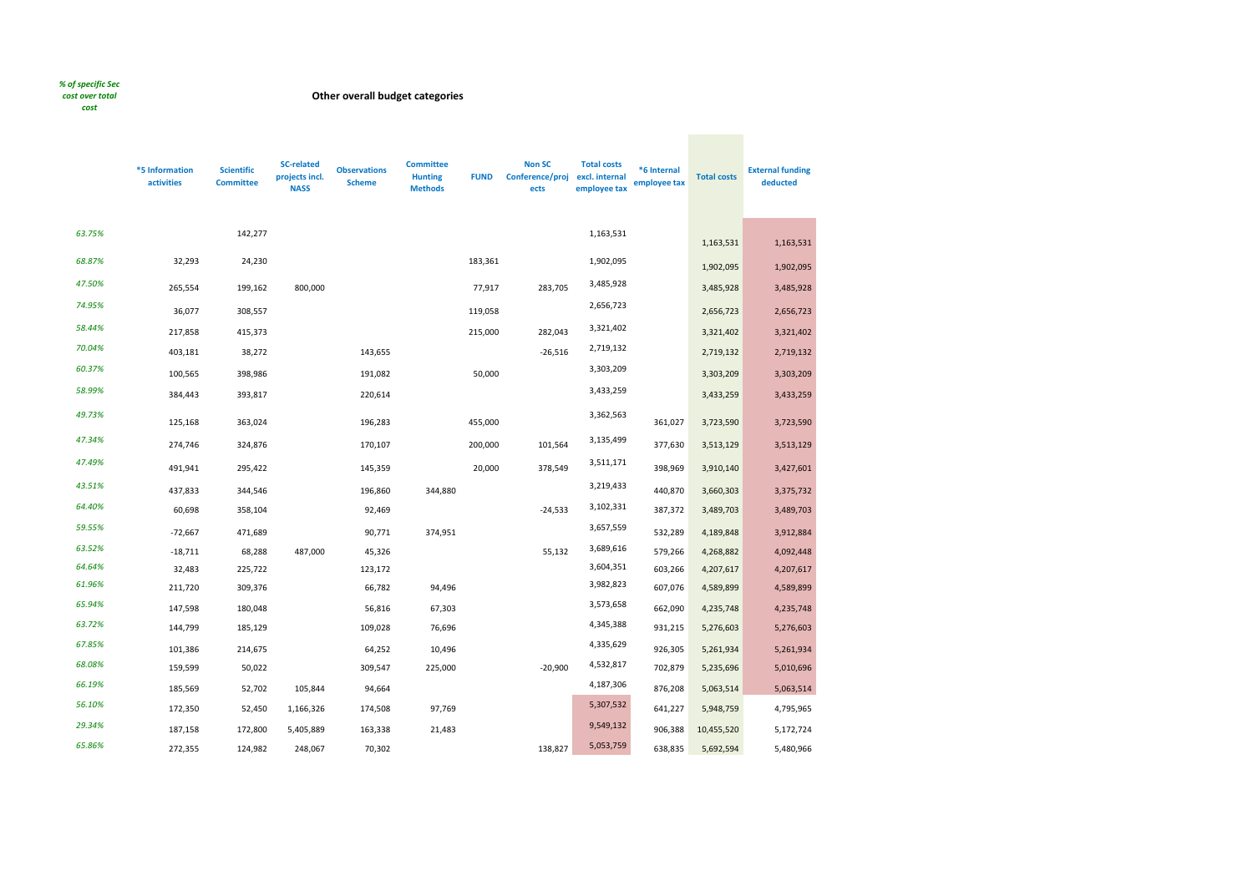## *% of specific Sec*

# *cost over total*

*cost*

**\*5 Information activities Scientific Committee SC-related projects incl. NASS Observations Scheme Committee Hunting Methods FUND Non SC Conference/proj ects Total costs excl. internal employee tax \*6 Internal employee tax Total costs External funding deducted** *63.75%* 142,277 1,163,531 1,163,531 1,163,531 *68.87%* 32,293 24,230 183,361 1,902,095 1,902,095 1,902,095 *47.50%* 265,554 199,162 800,000 77,917 283,705 3,485,928 3,485,928 3,485,928 *74.95%* 36,077 308,557 119,058 2,656,723 2,656,723 2,656,723 *58.44%* 217,858 415,373 215,000 282,043 3,321,402 3,321,402 3,321,402 *70.04%* 403,181 38,272 143,655 403,181 38,272 403,181 38,272 2,719,132 2,719,132 *60.37%* 100,565 398,986 191,082 50,000 3,303,209 3,303,209 3,303,209 *58.99%* 384,443 393,817 220,614 3,433,259 3,433,259 3,433,259 *49.73%* 125,168 363,024 196,283 455,000 3,362,563 361,027 3,723,590 3,723,590 *47.34%* 274,746 324,876 170,107 200,000 101,564 3,135,499 377,630 3,513,129 3,513,129 *47.49%* 491,941 295,422 145,359 20,000 378,549 3,511,171 398,969 3,910,140 3,427,601 *43.51%* 437,833 344,546 196,860 344,880 3,219,433 440,870 3,660,303 3,375,732 *64.40%* 60,698 358,104 92,469 -24,533 3,102,331 387,372 3,489,703 3,489,703 *59.55%* -72,667 471,689 90,771 374,951 3,657,559 532,289 4,189,848 3,912,884 *63.52%* -18,711 68,288 487,000 45,326 55,132 3,689,616 579,266 4,268,882 4,092,448 *64.64%* 32,483 225,722 123,172 3,604,351 603,266 4,207,617 4,207,617 *61.96%* 211,720 309,376 66,782 94,496 3,982,823 607,076 4,589,899 4,589,899 *65.94%* 147,598 180,048 56,816 67,303 3,573,658 662,090 4,235,748 4,235,748 *63.72%* 144,799 185,129 109,028 76,696 4,345,388 931,215 5,276,603 5,276,603 *67.85%* 101,386 214,675 64,252 10,496 4,335,629 926,305 5,261,934 5,261,934 *68.08%* 159,599 50,022 309,547 225,000 -20,900 4,532,817 702,879 5,235,696 5,010,696 *66.19%* 185,569 52,702 105,844 94,664 4,187,306 876,208 5,063,514 5,063,514 *56.10%* 172,350 52,450 1,166,326 174,508 97,769 5,307,532 641,227 5,948,759 4,795,965 *29.34%* 187,158 172,800 5,405,889 163,338 21,483 9,549,132 906,388 10,455,520 5,172,724 *65.86%* 272,355 124,982 248,067 70,302 138,827 5,053,759 638,835 5,692,594 5,480,966

## **Other overall budget categories**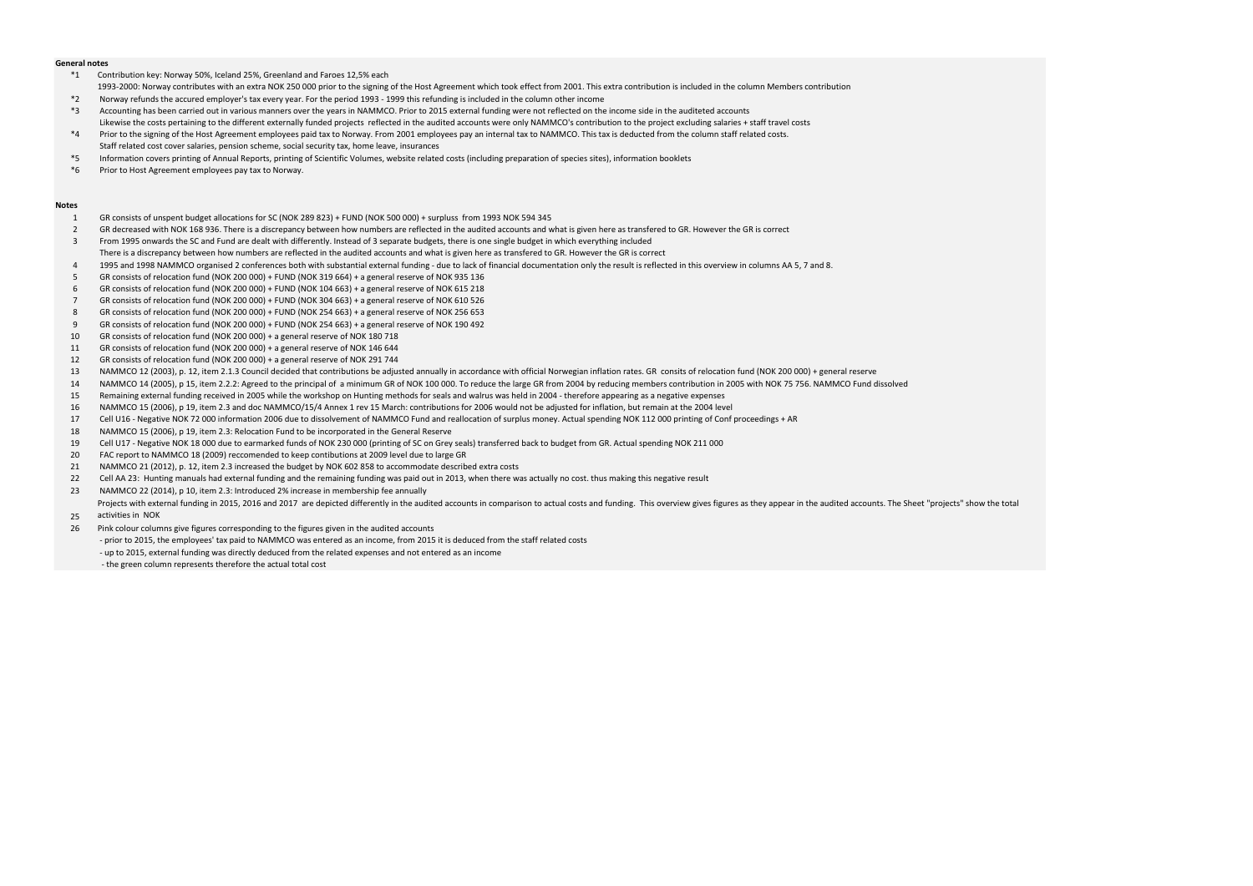### **General notes**

- \*1 Contribution key: Norway 50%, Iceland 25%, Greenland and Faroes 12,5% each
- 1993-2000: Norway contributes with an extra NOK 250 000 prior to the signing of the Host Agreement which took effect from 2001. This extra contribution is included in the column Members contribution
- \*2 Norway refunds the accured employer's tax every year. For the period 1993 1999 this refunding is included in the column other income
- \*3 Accounting has been carried out in various manners over the years in NAMMCO. Prior to 2015 external funding were not reflected on the income side in the auditeted accounts Likewise the costs pertaining to the different externally funded projects reflected in the audited accounts were only NAMMCO's contribution to the project excluding salaries + staff travel costs
- \*4 Prior to the signing of the Host Agreement employees paid tax to Norway. From 2001 employees pay an internal tax to NAMMCO. This tax is deducted from the column staff related costs. Staff related cost cover salaries, pension scheme, social security tax, home leave, insurances
- \*5 Information covers printing of Annual Reports, printing of Scientific Volumes, website related costs (including preparation of species sites), information booklets
- \*6 Prior to Host Agreement employees pay tax to Norway.

### **Notes**

- 1 GR consists of unspent budget allocations for SC (NOK 289 823) + FUND (NOK 500 000) + surpluss from 1993 NOK 594 345
- 2 GR decreased with NOK 168 936. There is a discrepancy between how numbers are reflected in the audited accounts and what is given here as transfered to GR. However the GR is correct
- 3 From 1995 onwards the SC and Fund are dealt with differently. Instead of 3 separate budgets, there is one single budget in which everything included
- There is a discrepancy between how numbers are reflected in the audited accounts and what is given here as transfered to GR. However the GR is correct
- 4 1995 and 1998 NAMMCO organised 2 conferences both with substantial external funding due to lack of financial documentation only the result is reflected in this overview in columns AA 5, 7 and 8.
- 5 GR consists of relocation fund (NOK 200 000) + FUND (NOK 319 664) + a general reserve of NOK 935 136
- 6 GR consists of relocation fund (NOK 200 000) + FUND (NOK 104 663) + a general reserve of NOK 615 218
- 7 GR consists of relocation fund (NOK 200 000) + FUND (NOK 304 663) + a general reserve of NOK 610 526
- 8 GR consists of relocation fund (NOK 200 000) + FUND (NOK 254 663) + a general reserve of NOK 256 653
- 9 GR consists of relocation fund (NOK 200 000) + FUND (NOK 254 663) + a general reserve of NOK 190 492
- 10 GR consists of relocation fund (NOK 200 000) + a general reserve of NOK 180 718
- 11 GR consists of relocation fund (NOK 200 000) + a general reserve of NOK 146 644
- 12 GR consists of relocation fund (NOK 200 000) + a general reserve of NOK 291 744
- 13 NAMMCO 12 (2003), p. 12, item 2.1.3 Council decided that contributions be adjusted annually in accordance with official Norwegian inflation rates. GR consits of relocation fund (NOK 200 000) + general reserve
- 14 NAMMCO 14 (2005), p 15, item 2.2.2: Agreed to the principal of a minimum GR of NOK 100 000. To reduce the large GR from 2004 by reducing members contribution in 2005 with NOK 75 756. NAMMCO Fund dissolved
- 15 Remaining external funding received in 2005 while the workshop on Hunting methods for seals and walrus was held in 2004 therefore appearing as a negative expenses
- 16 NAMMCO 15 (2006), p 19, item 2.3 and doc NAMMCO/15/4 Annex 1 rev 15 March: contributions for 2006 would not be adjusted for inflation, but remain at the 2004 level
- 17 Cell U16 Negative NOK 72 000 information 2006 due to dissolvement of NAMMCO Fund and reallocation of surplus money. Actual spending NOK 112 000 printing of Conf proceedings + AR
- 18 NAMMCO 15 (2006), p 19, item 2.3: Relocation Fund to be incorporated in the General Reserve
- 19 Cell U17 Negative NOK 18 000 due to earmarked funds of NOK 230 000 (printing of SC on Grey seals) transferred back to budget from GR. Actual spending NOK 211 000
- 20 FAC report to NAMMCO 18 (2009) reccomended to keep contibutions at 2009 level due to large GR
- 21 NAMMCO 21 (2012), p. 12, item 2.3 increased the budget by NOK 602 858 to accommodate described extra costs
- 22 Cell AA 23: Hunting manuals had external funding and the remaining funding was paid out in 2013, when there was actually no cost. thus making this negative result
- 23 NAMMCO 22 (2014), p 10, item 2.3: Introduced 2% increase in membership fee annually

- 
- 26 Pink colour columns give figures corresponding to the figures given in the audited accounts
	- prior to 2015, the employees' tax paid to NAMMCO was entered as an income, from 2015 it is deduced from the staff related costs
	- up to 2015, external funding was directly deduced from the related expenses and not entered as an income
	- the green column represents therefore the actual total cost

25 Projects with external funding in 2015, 2016 and 2017 are depicted differently in the audited accounts in comparison to actual costs and funding. This overview gives figures as they appear in the audited accounts. The Shee activities in NOK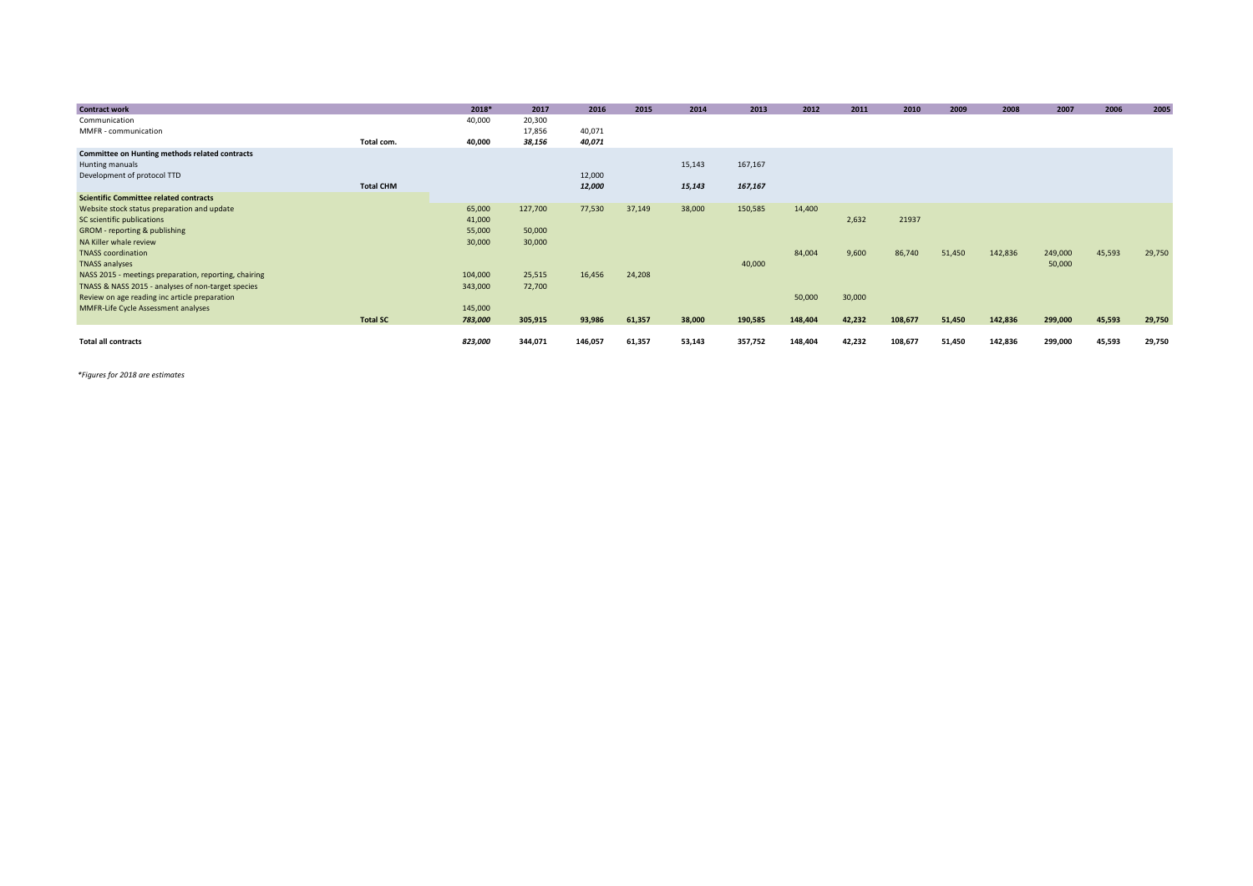| <b>Contract work</b>                                  |                  | 2018*   | 2017    | 2016    | 2015   | 2014   | 2013    | 2012    | 2011   | 2010    | 2009   | 2008    | 2007    | 2006   | 2005   |
|-------------------------------------------------------|------------------|---------|---------|---------|--------|--------|---------|---------|--------|---------|--------|---------|---------|--------|--------|
| Communication                                         |                  | 40,000  | 20,300  |         |        |        |         |         |        |         |        |         |         |        |        |
| MMFR - communication                                  |                  |         | 17,856  | 40,071  |        |        |         |         |        |         |        |         |         |        |        |
|                                                       | Total com.       | 40,000  | 38,156  | 40,071  |        |        |         |         |        |         |        |         |         |        |        |
| <b>Committee on Hunting methods related contracts</b> |                  |         |         |         |        |        |         |         |        |         |        |         |         |        |        |
| Hunting manuals                                       |                  |         |         |         |        | 15,143 | 167,167 |         |        |         |        |         |         |        |        |
| Development of protocol TTD                           |                  |         |         | 12,000  |        |        |         |         |        |         |        |         |         |        |        |
|                                                       | <b>Total CHM</b> |         |         | 12,000  |        | 15,143 | 167,167 |         |        |         |        |         |         |        |        |
| <b>Scientific Committee related contracts</b>         |                  |         |         |         |        |        |         |         |        |         |        |         |         |        |        |
| Website stock status preparation and update           |                  | 65,000  | 127,700 | 77,530  | 37,149 | 38,000 | 150,585 | 14,400  |        |         |        |         |         |        |        |
| SC scientific publications                            |                  | 41,000  |         |         |        |        |         |         | 2,632  | 21937   |        |         |         |        |        |
| GROM - reporting & publishing                         |                  | 55,000  | 50,000  |         |        |        |         |         |        |         |        |         |         |        |        |
| NA Killer whale review                                |                  | 30,000  | 30,000  |         |        |        |         |         |        |         |        |         |         |        |        |
| <b>TNASS</b> coordination                             |                  |         |         |         |        |        |         | 84,004  | 9,600  | 86,740  | 51,450 | 142,836 | 249,000 | 45,593 | 29,750 |
| <b>TNASS analyses</b>                                 |                  |         |         |         |        |        | 40,000  |         |        |         |        |         | 50,000  |        |        |
| NASS 2015 - meetings preparation, reporting, chairing |                  | 104,000 | 25,515  | 16,456  | 24,208 |        |         |         |        |         |        |         |         |        |        |
| TNASS & NASS 2015 - analyses of non-target species    |                  | 343,000 | 72,700  |         |        |        |         |         |        |         |        |         |         |        |        |
| Review on age reading inc article preparation         |                  |         |         |         |        |        |         | 50,000  | 30,000 |         |        |         |         |        |        |
| MMFR-Life Cycle Assessment analyses                   |                  | 145,000 |         |         |        |        |         |         |        |         |        |         |         |        |        |
|                                                       | <b>Total SC</b>  | 783,000 | 305,915 | 93,986  | 61,357 | 38,000 | 190,585 | 148,404 | 42,232 | 108,677 | 51,450 | 142,836 | 299,000 | 45,593 | 29,750 |
|                                                       |                  |         |         |         |        |        |         |         |        |         |        |         |         |        |        |
| <b>Total all contracts</b>                            |                  | 823,000 | 344,071 | 146,057 | 61,357 | 53,143 | 357,752 | 148,404 | 42,232 | 108,677 | 51,450 | 142,836 | 299,000 | 45,593 | 29,750 |

*\*Figures for 2018 are estimates*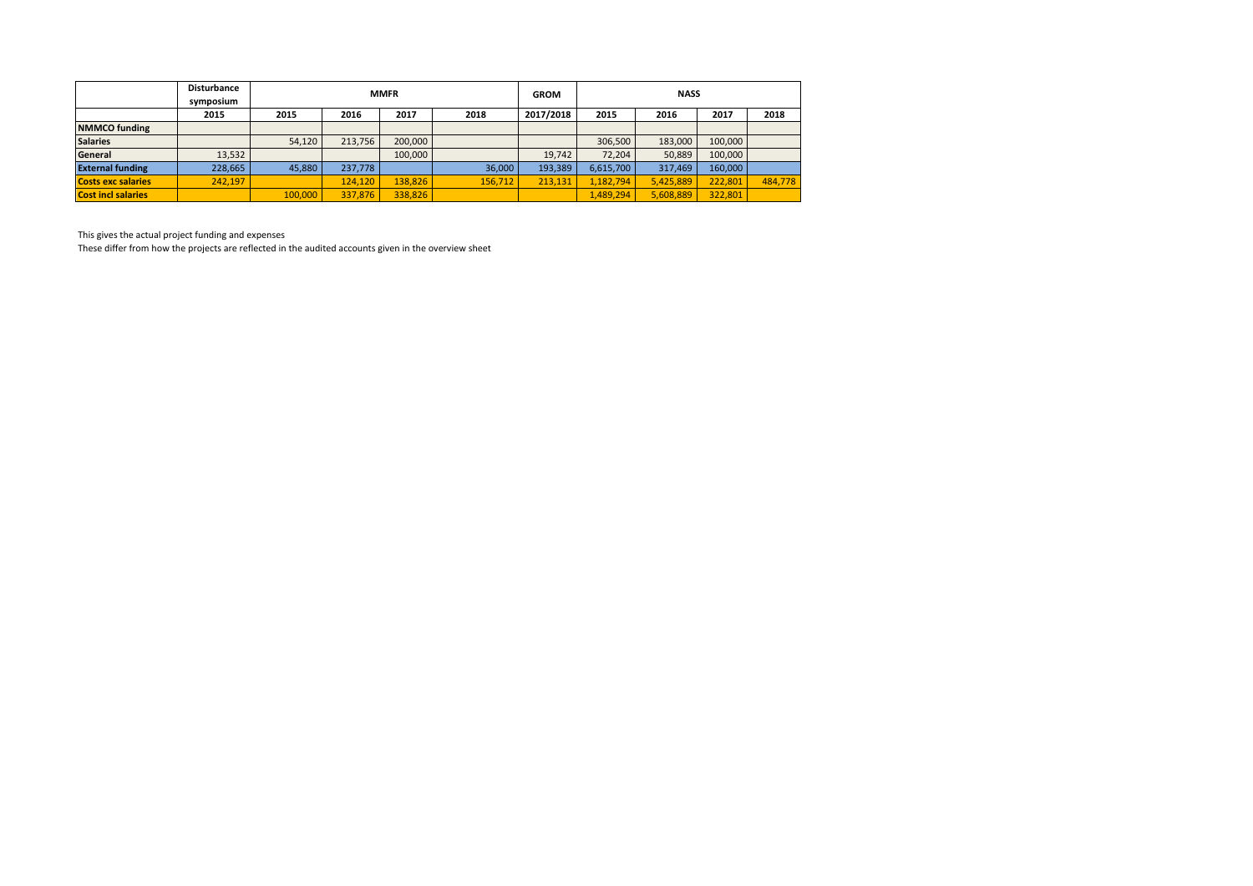|                           | <b>Disturbance</b><br>symposium |         |         | <b>MMFR</b> |         | <b>GROM</b> |           | <b>NASS</b> |         |         |
|---------------------------|---------------------------------|---------|---------|-------------|---------|-------------|-----------|-------------|---------|---------|
|                           | 2015                            | 2015    | 2016    | 2017        | 2018    | 2017/2018   | 2015      | 2016        | 2017    | 2018    |
| <b>NMMCO</b> funding      |                                 |         |         |             |         |             |           |             |         |         |
| <b>Salaries</b>           |                                 | 54,120  | 213.756 | 200.000     |         |             | 306.500   | 183.000     | 100,000 |         |
| General                   | 13,532                          |         |         | 100.000     |         | 19.742      | 72.204    | 50.889      | 100,000 |         |
| <b>External funding</b>   | 228,665                         | 45,880  | 237.778 |             | 36.000  | 193,389     | 6,615,700 | 317,469     | 160,000 |         |
| <b>Costs exc salaries</b> | 242,197                         |         | 124,120 | 138,826     | 156,712 | 213,131     | 1,182,794 | 5,425,889   | 222,801 | 484.778 |
| <b>Cost incl salaries</b> |                                 | 100,000 | 337,876 | 338,826     |         |             | 1,489,294 | 5,608,889   | 322,801 |         |

This gives the actual project funding and expenses

These differ from how the projects are reflected in the audited accounts given in the overview sheet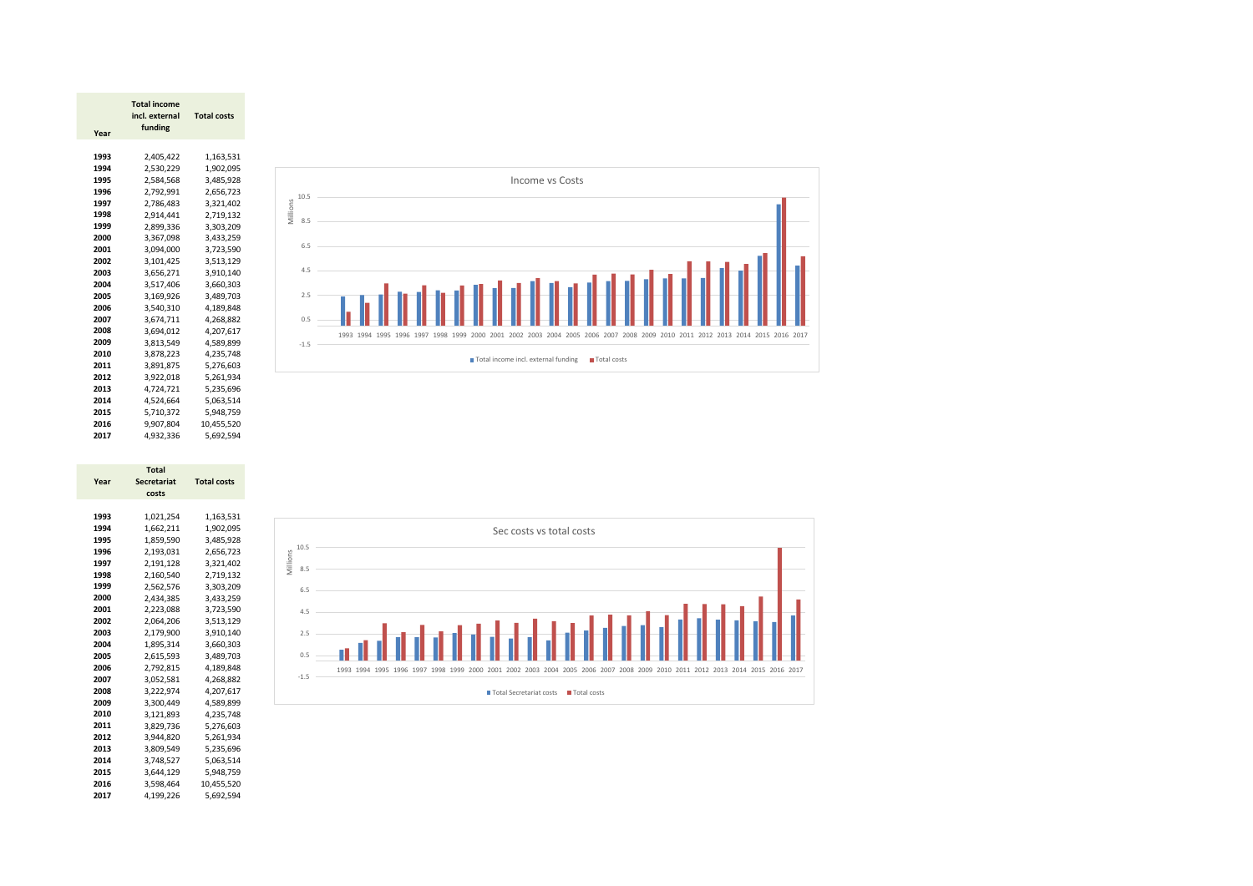|      | Total income   |                    |
|------|----------------|--------------------|
|      | incl. external | <b>Total costs</b> |
| Year | funding        |                    |
|      |                |                    |
| 1993 | 2,405,422      | 1,163,531          |
| 1994 | 2,530,229      | 1,902,095          |
| 1995 | 2,584,568      | 3,485,928          |
| 1996 | 2,792,991      | 2,656,723          |
| 1997 | 2,786,483      | 3,321,402          |
| 1998 | 2,914,441      | 2,719,132          |
| 1999 | 2.899.336      | 3,303,209          |
| 2000 | 3,367,098      | 3,433,259          |
| 2001 | 3,094,000      | 3,723,590          |
| 2002 | 3,101,425      | 3,513,129          |
| 2003 | 3,656,271      | 3,910,140          |
| 2004 | 3,517,406      | 3.660.303          |
| 2005 | 3,169,926      | 3.489.703          |
| 2006 | 3,540,310      | 4,189,848          |
| 2007 | 3,674,711      | 4,268,882          |
| 2008 | 3,694,012      | 4,207,617          |
| 2009 | 3,813,549      | 4,589,899          |
| 2010 | 3,878,223      | 4,235,748          |
| 2011 | 3,891,875      | 5,276,603          |
| 2012 | 3,922,018      | 5,261,934          |
| 2013 | 4,724,721      | 5,235,696          |
| 2014 | 4,524,664      | 5,063,514          |
| 2015 | 5,710,372      | 5,948,759          |
| 2016 | 9,907,804      | 10,455,520         |
| 2017 | 4,932,336      | 5,692,594          |



|      | <b>Total</b>       |                    |
|------|--------------------|--------------------|
| Year | <b>Secretariat</b> | <b>Total costs</b> |
|      | costs              |                    |
|      |                    |                    |
| 1993 | 1,021,254          | 1,163,531          |
| 1994 | 1,662,211          | 1,902,095          |
| 1995 | 1,859,590          | 3,485,928          |
| 1996 | 2,193,031          | 2,656,723          |
| 1997 | 2,191,128          | 3,321,402          |
| 1998 | 2.160.540          | 2.719.132          |
| 1999 | 2,562,576          | 3,303,209          |
| 2000 | 2,434,385          | 3,433,259          |
| 2001 | 2,223,088          | 3,723,590          |
| 2002 | 2,064,206          | 3,513,129          |
| 2003 | 2,179,900          | 3,910,140          |
| 2004 | 1,895,314          | 3,660,303          |
| 2005 | 2,615,593          | 3,489,703          |
| 2006 | 2,792,815          | 4,189,848          |
| 2007 | 3,052,581          | 4,268,882          |
| 2008 | 3,222,974          | 4,207,617          |
| 2009 | 3.300.449          | 4,589,899          |
| 2010 | 3,121,893          | 4,235,748          |
| 2011 | 3,829,736          | 5,276,603          |
| 2012 | 3,944,820          | 5,261,934          |
| 2013 | 3,809,549          | 5,235,696          |
| 2014 | 3,748,527          | 5,063,514          |
| 2015 | 3,644,129          | 5,948,759          |
| 2016 | 3,598,464          | 10,455,520         |
| 2017 | 4.199.226          | 5.692.594          |

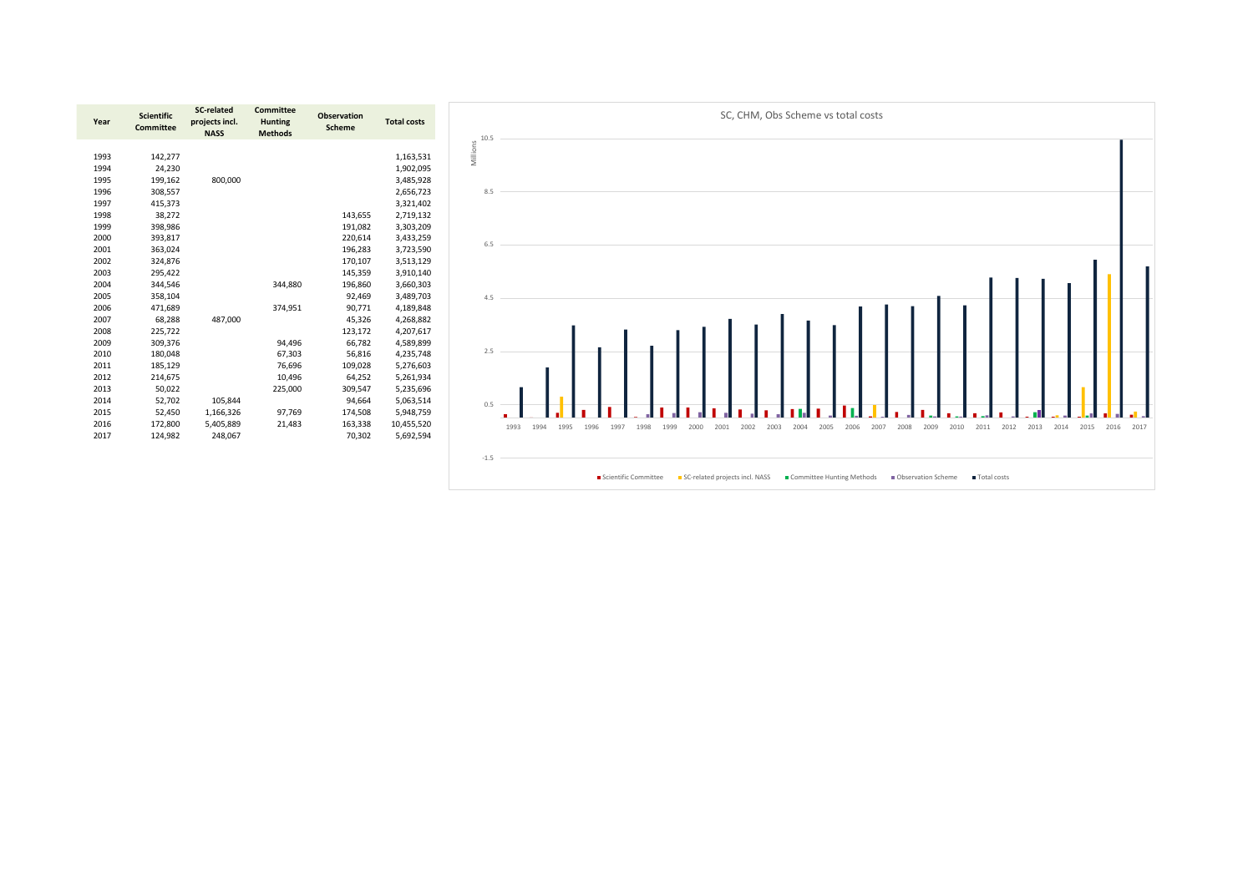

| Year | <b>Scientific</b><br><b>Committee</b> | <b>SC-related</b><br>projects incl.<br><b>NASS</b> | <b>Committee</b><br><b>Hunting</b><br><b>Methods</b> | <b>Observation</b><br><b>Scheme</b> | <b>Total costs</b> |
|------|---------------------------------------|----------------------------------------------------|------------------------------------------------------|-------------------------------------|--------------------|
|      |                                       |                                                    |                                                      |                                     |                    |
| 1993 | 142,277                               |                                                    |                                                      |                                     | 1,163,531          |
| 1994 | 24,230                                |                                                    |                                                      |                                     | 1,902,095          |
| 1995 | 199,162                               | 800,000                                            |                                                      |                                     | 3,485,928          |
| 1996 | 308,557                               |                                                    |                                                      |                                     | 2,656,723          |
| 1997 | 415,373                               |                                                    |                                                      |                                     | 3,321,402          |
| 1998 | 38,272                                |                                                    |                                                      | 143,655                             | 2,719,132          |
| 1999 | 398,986                               |                                                    |                                                      | 191,082                             | 3,303,209          |
| 2000 | 393,817                               |                                                    |                                                      | 220,614                             | 3,433,259          |
| 2001 | 363,024                               |                                                    |                                                      | 196,283                             | 3,723,590          |
| 2002 | 324,876                               |                                                    |                                                      | 170,107                             | 3,513,129          |
| 2003 | 295,422                               |                                                    |                                                      | 145,359                             | 3,910,140          |
| 2004 | 344,546                               |                                                    | 344,880                                              | 196,860                             | 3,660,303          |
| 2005 | 358,104                               |                                                    |                                                      | 92,469                              | 3,489,703          |
| 2006 | 471,689                               |                                                    | 374,951                                              | 90,771                              | 4,189,848          |
| 2007 | 68,288                                | 487,000                                            |                                                      | 45,326                              | 4,268,882          |
| 2008 | 225,722                               |                                                    |                                                      | 123,172                             | 4,207,617          |
| 2009 | 309,376                               |                                                    | 94,496                                               | 66,782                              | 4,589,899          |
| 2010 | 180,048                               |                                                    | 67,303                                               | 56,816                              | 4,235,748          |
| 2011 | 185,129                               |                                                    | 76,696                                               | 109,028                             | 5,276,603          |
| 2012 | 214,675                               |                                                    | 10,496                                               | 64,252                              | 5,261,934          |
| 2013 | 50,022                                |                                                    | 225,000                                              | 309,547                             | 5,235,696          |
| 2014 | 52,702                                | 105,844                                            |                                                      | 94,664                              | 5,063,514          |
| 2015 | 52,450                                | 1,166,326                                          | 97,769                                               | 174,508                             | 5,948,759          |
| 2016 | 172,800                               | 5,405,889                                          | 21,483                                               | 163,338                             | 10,455,520         |
| 2017 | 124,982                               | 248,067                                            |                                                      | 70,302                              | 5,692,594          |
|      |                                       |                                                    |                                                      |                                     |                    |